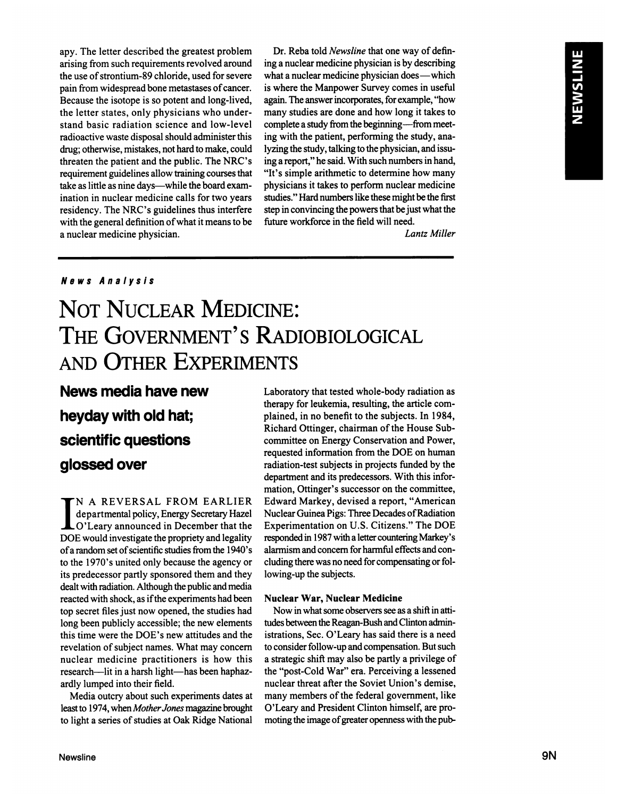**apy. The letter described the greatest problem** arising from such requirements revolved around **the use ofstrontium-89 chloride, used for severe pain from widespread bone metastases of cancer. Because the isotope is so potent and long-lived, the letter states, only physicians who under stand basic radiation science and low-level radioactive waste disposal should administer this** drug; otherwise, mistakes, not hard to make, could **threaten the patient and the public. The NRC's requirement guidelines allow training courses that** take as little as nine days—while the board exam**ination in nuclear medicine calls for two years residency. The NRC's guidelines thus interfere with the general definition of what it means to be a nuclear medicine physician.**

**Dr.** Reba told *Newsline* that one way of defin**ing a nuclear medicine physician is by describing what a nuclear medicine physician does—which is where the Manpower Survey comes in useful again.The answer incorporates,forexample, "how many studies are done and how long it takes to complete a study from the beginning—frommeet ing with the patient, performing the study, ana** lyzing the study, talking to the physician, and issu ing a report," he said. With such numbers in hand, **"It's simple arithmetic to determine how many physicians it takes to perform nuclear medicine studies.―Hard numbers like these might be the first step in convincing the powers thatbe just what the** future workforce in the field will need.

*Lantz Miller*

## **News Analysis**

# **NOT NUCLEAR MEDICINE: THE GOVERNMENT'S RADIOBIOLOGICAL AND OTHER EXPERIMENTS**

**News media have new heydaywith old hat; scientific questions** glossed over

**I N A REVERSAL FROM EARLIER departmental policy, Energy Secretary Hazel O'Leary announced in December that the DOE would investigate the propriety and legality ofa random set ofscientific studies from the 1940's to the 1970's united only because the agency or its predecessor partly sponsored them and they** dealt with radiation. Although the public and media **reacted with shock, as ifthe experiments had been top secret files just now opened, the studies had long been publicly accessible; the new elements this time were the DOE's new attitudes and the revelation of subject names. What may concern nuclear medicine practitioners is how this research—lit in a harsh light—has been haphaz ardly lumped into their field.**

**Media outcry about such experiments dates at** least to 1974, when Mother Jones magazine brought **to light a series of studies at Oak Ridge National**

**Laboratory that tested whole-body radiation as therapy for leukemia, resulting, the article corn plained, in no benefit to the subjects. In 1984, Richard Ottinger, chairman of the House Subcommittee on Energy Conservation and Power, requested information from the DOE on human radiation-test subjects in projects funded by the** department and its predecessors. With this infor **mation, Ottinger's successor on the committee, Edward Markey, devised a report, "American Nuclear Guinea Pigs: Three Decades of Radiation Experimentation on U.S. Citizens.―The DOE** responded in 1987 with a letter countering Markey's **alarmism and concern forharmful effects and con** cluding there was no need for compensating or fol**lowing-up the subjects.**

#### **Nuclear War, Nuclear Medicine**

**Now in whatsome observerssee as a shiftin atti** tudes between the Reagan-Bush and Clinton admin**istrations, Sec. O'Leary has said there is a need to consider follow-up and compensation. But such a strategic shift may also be partly a privilege of the "post-ColdWar―era. Perceiving a lessened nuclear threat after the Soviet Union's demise, many** members of the federal government, like O'Leary and President Clinton himself, are pro moting the image of greater openness with the pub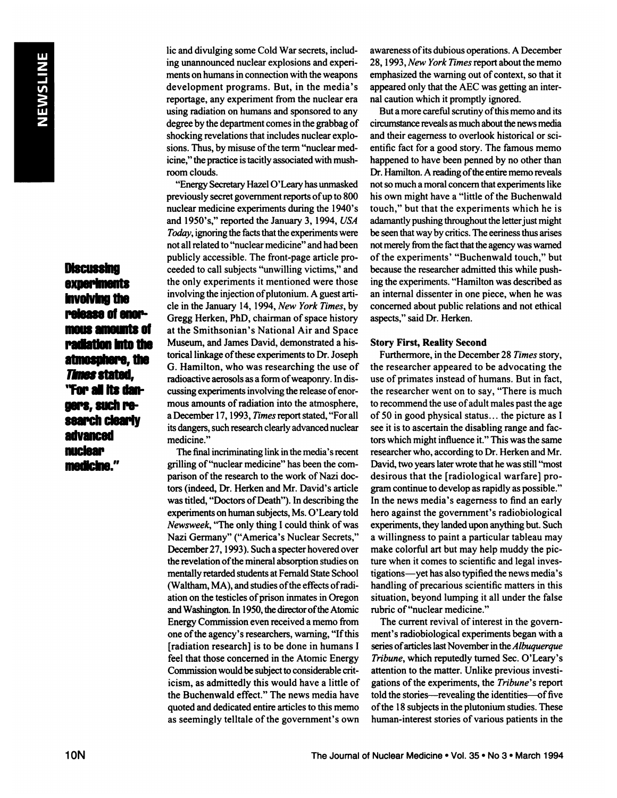**Discussing** experiments involving the release of enormous amounts of radiation into the atmosphere, the **Times stated.** "For all its dangers, such research clearly advanced nuclear medicine."

**lic and divulging some Cold War secrets, includ ing unannounced nuclear explosions and experi** ments on humans in connection with the weapons **development programs. But, in the media's** reportage, any experiment from the nuclear era using radiation on humans and sponsored to any degree by the department comes in the grabbag of **shocking revelations that includes nuclear explo sions.** Thus, by misuse of the term "nuclear medicine," the practice is tacitly associated with mushroom clouds.

"Energy Secretary Hazel O'Leary has unmasked **previously secret government reports ofup to 800 nuclear medicine experiments during the 1940's and 1950's,―reported the January 3, 1994, USA** *Today, ignoringthe facts that the experiments were* **not all related to "nuclearmedicine― and had been publicly accessible. The front-page article pro ceeded** to call subjects "unwilling victims," and **the only experiments it mentioned were those involving the injection ofplutonium. A guest arti cle in the January 14, 1994, New YorkTimes, by Gregg Herken, PhD, chairman of space history at the Smithsonian's National Air and Space** Museum, and James David, demonstrated a his torical linkage of these experiments to Dr. Joseph **G. Hamilton, who was researching the use of** radioactive aerosols as a form of weaponry. In discussing experiments involving the release of enor mous amounts of radiation into the atmosphere, **a December 17, 1993, Timesreportstated, "For all** its dangers, such research clearly advanced nuclear medicine."

**The final incriminatinglink inthe media's recent** grilling of "nuclear medicine" has been the comparison of the research to the work of Nazi doctors (indeed, Dr. Herken and Mr. David's article was titled, "Doctors of Death"). In describing the experiments on human subjects, Ms. O'Leary told *Newsweek,* "The only thing I could think of was Nazi Germany" ("America's Nuclear Secrets," December 27, 1993). Such a specter hovered over **the revelation ofthe mineral absorption studies on** mentally retarded students at Femald State School (Waltham, MA), and studies of the effects of radi**ation on the testicles ofprison inmates in Oregon** and Washington. In 1950, the director of the Atomic **Energy Commission even received a memo from one ofthe agency's researchers, warning, "If this [radiation research] is to be done in humans I feel that those concerned in the Atomic Energy** Commission would be subject to considerable crit**icism, as admittedly this would have a little of the Buchenwald effect.―The news media have quoted and dedicated entire articles to this memo as seemingly telltale of the government's own** **awareness ofits dubious operations. A December 28, 1993, New YorkTimes reportabout the memo emphasized** the warning out of context, so that it **appeared only that the AEC wasgetting an inter nal caution which it promptly ignored.**

**But a more careful scrutiny ofthis memo and its** circumstance reveals as much about the news media and their eagerness to overlook historical or sci **entific fact for a good story. The famous memo happened to have been penned by no other than** Dr. Hamilton. A reading of the entire memo reveals **not so much a moral concern thatexperiments like his own might have a "little ofthe Buchenwald touch,―but that the experiments which he is** adamantly pushing throughout the letter just might **be seen thatway by critics.The eeriness thus arises notmerely fromthe factthatthe agency was warned** of the experiments' "Buchenwald touch," but **because the researcher admitted this while push ing the experiments. "Hamiltonwas described as an internal dissenter in one piece, when he was concerned about public relations and notethical aspects,―said Dr. Herken.**

#### **Story First, Reality Second**

**Furthermore, in the December 28 Times story, the researcher appeared to be advocating the use ofprimates instead ofhumans. But in fact, the researcher went on to say,"Thereis much to recommend the use ofadult males past the age of 50 in good physical status. . . the picture as I see it is to ascertain the disabling range and fac tors which might influence it.― This was the same researcher who, according to Dr. Herken and Mr.** David, two years later wrote that he was still "most **desirous that the [radiological warfare] pro** gram continue to develop as rapidly as possible." **In the news media's eagerness to find an early hero against the government's radiobiological** experiments, they landed upon anything but. Such **a willingness to paint a particular tableau may make colorful art but may help muddy the pic ture when it comes to scientific and legal inves tigations—yethas also typified the news media's handling** of precarious scientific matters in this **situation, beyond lumping it all under the false** rubric of "nuclear medicine."

**The current revival of interest in the govern ment's radiobiological experiments began with a** series of articles last November in the *Albuquerque* **Tribune, which reputedly turned Sec. O'Leary's attention to the matter. Unlike previous investi gations ofthe experiments, the Tribune's report told** the stories—revealing the **identities—of** five **ofthe 18 subjects in the plutonium studies. These human-interest stories** of various patients in the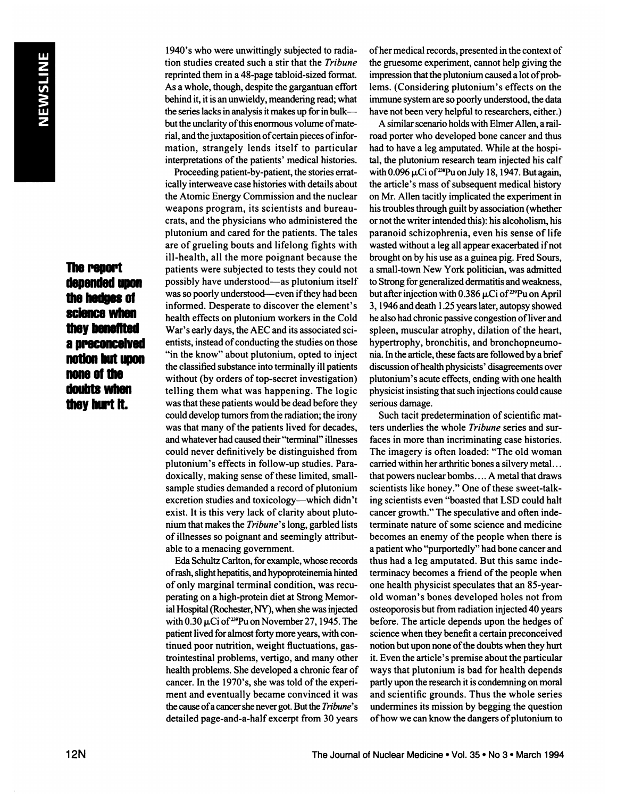# **The report** ulepended upon the hedges of science when they benefited **apreconceived** notion but upon none of the doubts when they hurt it.

**1940's who were unwittingly subjected to radia tion studies created such a stir that the Tribune reprinted them in a 48-page tabloid-sized format. As a whole, though, despite the gargantuan effort behind it, itis an unwieldy, meandering read;what the series lacks in analysis itmakes up for inbulk butthe unclarity ofthis enormous volume of mate** rial, and the juxtaposition of certain pieces of infor**mation, strangely lends itself to particular**  $interpretations of the patients' medical histories.$ 

**Proceeding patient-by-patient, the stories errat ically interweave case histories with details about the Atomic Energy Commission and the nuclear weapons program, its scientists and bureau crats, and the physicians who administered the plutonium and cared for the patients. The tales are ofgrueling bouts and lifelong fights with ill-health, all the more poignant because the patients were subjected to tests they could not possibly have understood—asplutonium itself was so poorly understood—evenifthey had been informed. Desperate to discover the element's health effects on plutonium workers in the Cold War's early days, the AEC and its associated sci entists, instead of conducting the studies on those "inthe know―about plutonium, opted to inject the classified substance into terminally ill patients without (by orders of top-secret investigation) telling them what was happening. The logic was thatthese patients would be dead before they could develop tumorsfrom the radiation;the irony was** that many of the patients lived for decades, **andwhatever had caused their"terminal― ilnesses could never definitively be distinguished from plutonium's effects in follow-up studies. Para doxically, making sense of these limited, smallsample studies demanded a record of plutonium excretion studies and toxicology—which didn't exist. It is this very lack of clarity about pluto** nium that makes the Tribune's long, garbled lists **of illnesses so poignant and seemingly attribut able to a menacing government.**

Eda Schultz Carlton, forexample, whose records **ofrash, slight hepatitis,andhypoproteinemiahinted of only marginal terminal condition, was recu perating on a high-protein diet at Strong Memor** ial Hospital (Rochester, NY), when she was injected **with** 0.30  $\mu$ Ci of <sup>239</sup>Pu on November 27, 1945. The **patient lived for almost forty more years, with continued poor nutrition, weight fluctuations, gas trointestinal problems, vertigo, and many other health problems. She developed a chronic fear of cancer. In the 1970's, she was told ofthe experi ment and eventually became convinced it was the cause ofa cancershenevergot. Butthe Tribune's detailed page-and-a-half excerpt from 30 years**

**ofher medical records, presented in the context of the gruesome experiment, cannot help giving the impression** that the plutonium caused a lot of prob**lems. (Considering plutonium's effects on the** immune system are so poorly understood, the data **have not been very helpful to researchers, either.)**

**A similar scenario holds with ElmerAllen, a rail road porter who developed bone cancer and thus had to have a leg amputated. While at the hospi tal, the plutonium research team injected his calf** with 0.096  $\mu$ Ci of <sup>238</sup>Pu on July 18, 1947. But again, **the article's mass of subsequent medical history on Mr. Allen tacitly implicated the experiment in his troubles through guilt by association (whether or not the writer intended this): his alcoholism, his paranoid schizophrenia, even his sense of life wasted without a leg all appear exacerbated if not brought on by his use as a guinea pig. Fred Sours, a small-town New York politician, was admitted to Strong forgeneralized dermatitisandweakness, but** after injection with 0.386  $\mu$ Ci of <sup>239</sup>Pu on April 3, 1946 and death 1.25 years later, autopsy showed **he also had chronic passive congestion ofliver and spleen, muscular atrophy, dilation of the heart, hypertrophy, bronchitis, and bronchopneumo ma.Inthe article,these facts arefollowed by a brief discussion ofhealth physicists' disagreements over plutonium's acute effects, ending with one health physicist insisting that such injections could cause serious damage.**

**Such tacit predetermination of scientific mat ters underlies the whole Tribune series and sur faces in more than incriminating case histories. The imagery is often loaded: "Theold woman** carried within her arthritic bones a silvery metal... **thatpowers nuclear bombs. . .. A metal that draws scientists like honey.― One ofthese sweet-talk ing** scientists even "boasted that LSD could halt **cancer growth.―The speculative and often inde terminate nature of some science and medicine becomes** an enemy of the people when there is **a patient who "purportedly― had bone cancer and thus had a leg amputated. But this same inde terminacy** becomes a friend of the people when **one health physicist speculates that an 85-year old woman's bones developed holes not from osteoporosis but from radiation injected 40 years before. The article depends upon the hedges of science when they benefit a certain preconceived notion** but upon none of the doubts when they hurt **it. Even the article's premise about the particular ways that plutonium is bad for health depends** partly upon the research it is condemning on moral **and scientific grounds. Thus the whole series undermines its mission by begging the question ofhow we can know the dangers ofplutonium to**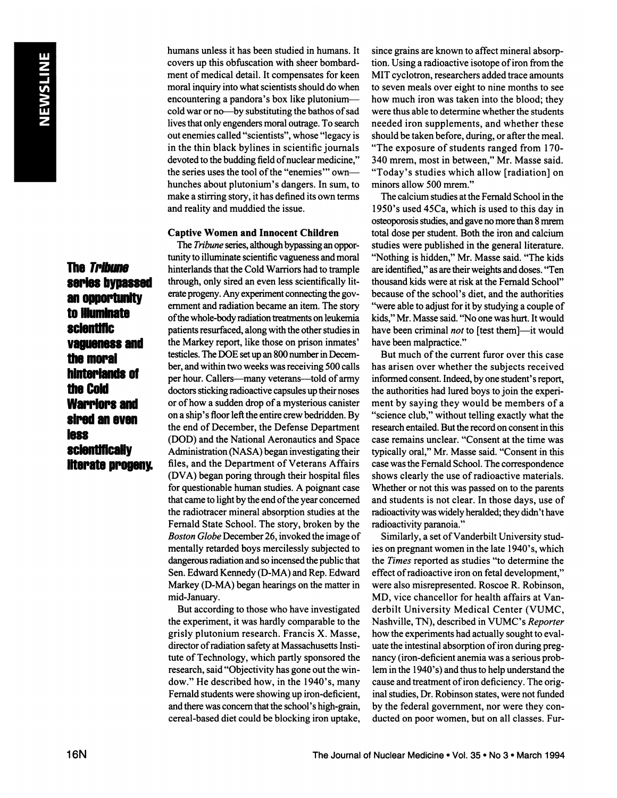**The Tribune** series bypassed **anopportunity toilluminate sclentmc vaguenessand the moral** hinteriands of **the Cold Warriors and sired an even less scientilicaHy literate progeny.**  **humans unless it has been studied in humans. It covers up this obfuscation with sheer bombard ment ofmedical detail. It compensates for keen** moral inquiry into what scientists should do when **encountering a pandora's box like plutonium cold war or no—bysubstituting the bathos of sad lives that only engenders moral outrage. To search out enemies called "scientists―, whose "legacyis in the thin black bylines in scientific journals devoted** to the budding field of nuclear medicine," **the series uses the tool ofthe "enemies― own hunches about plutonium's dangers. In sum,to make a stirring story, it has defined its own terms and reality and muddied the issue.**

### **Captive Women and Innocent Children**

The *Tribune* series, although bypassing an opportunity to illuminate scientific vagueness and moral **hinterlands thatthe Cold Warriors had to trample through, only sired an even less scientifically lit** erate progeny. Any experiment connecting the gov emment and radiation became an item. The story **ofthe whole-bodyradiationtrealments on leukemia patients resurfaced, along with the other studies in the Markey report, like those on prison inmates' testicles. The DOE set up an 800 number in Decem ber, andwithin two weeks was receiving 500 calls per hour. Callers—manyveterans—toldof army doctorssticking radioactive capsules up theirnoses or ofhow a sudden drop ofa mysterious canister on a ship's floorleft the entire crew bedridden. By the end of December, the Defense Department (DOD) and the National Aeronautics and Space Administration (NASA)began investigating their files, and the Department of Veterans Affairs (DVA) began poring through their hospital files for questionable human studies. A poignant case that came to light by the end ofthe year concerned the radiotracer mineral absorption studies at the Fernald State School. The story, broken by the** *Boston Globe December 26, invoked the image of* mentally retarded boys mercilessly subjected to dangerous radiation and so incensed the public that **Sen. Edward Kennedy (D-MA) and Rep. Edward Markey (D-MA) began hearings on the matter in** mid-January.

**But according to those who have investigated the experiment, it was hardly comparable to the grisly plutonium research. Francis X. Masse, director ofradiation safety atMassachusetts Insti** tute of Technology, which partly sponsored the **research, said "Objectivityhas gone out the win dow.―He described how, in the 1940's, many** Fernald students were showing up iron-deficient, **andtherewas concern thatthe school's high-grain, cereal-based diet could be blocking iron uptake,**

**since grains are known to affect mineral absorp tion. Using a radioactive isotope ofiron from the MIT cyclotron, researchers added trace amounts to seven meals over eight to nine months to see how much iron was taken into the blood; they were thus able to determine whether the students needed iron supplements, and whether these should be taken before, during, or after the meal.** "The exposure of students ranged from 170-**340 mrem, most in between,―Mr. Masse said. "Today'sstudies which allow [radiation] on** minors allow 500 mrem."

**The calcium studies at the Fernald School in the** 1950's used 45Ca, which is used to this day in osteoporosis studies, and gave no more than 8 mrem total dose per student. Both the iron and calcium **studies were published in the general literature. "Nothingis hidden,―Mr. Masse said. "The kids areidentified,― asaretheirweightsanddoses."Ten thousand kids were at risk at the Fernald School― because ofthe school's diet, and the authorities "were able to adjust for itby studying a couple of** kids," Mr. Masse said. "No one was hurt. It would **have been criminal not to [test them]—itwould have been malpractice.―**

**But much of the current furor over this case has arisen over whether the subjects received** informed consent. Indeed, by one student's report, **the authorities had lured boys to join the experi ment by saying they would be members of a** "science club," without telling exactly what the **research entailed. But the record on consent in this case remains unclear. "Consentat the time was** typically oral," Mr. Masse said. "Consent in this **case was the Fernald School. The correspondence shows clearly the use ofradioactive materials. Whether or not this was passed on to the parents and students is not clear. In those days, use of** radioactivity was widely heralded; they didn't have **radioactivity paranoia.―**

**Similarly, a set ofVanderbilt University stud ies on pregnant women in the late 1940's, which the Times reported as studies "todetermine the effect ofradioactive iron on fetal development,― were also misrepresented. Roscoe R. Robinson, MD, vice chancellor for health affairs at Van derbilt University Medical Center (VUMC, Nashville, TN), described in VUMC's Reporter how the experiments had actually sought to eval uate the intestinal absorption ofiron during preg nancy (iron-deficient anemia was a serious prob lem in the 1940's) and thus to help understand the cause and treatment ofiron deficiency. The orig inal studies, Dr. Robinson states, were not funded by the federal government, nor were they con ducted on poor women, but on all classes. Fur**